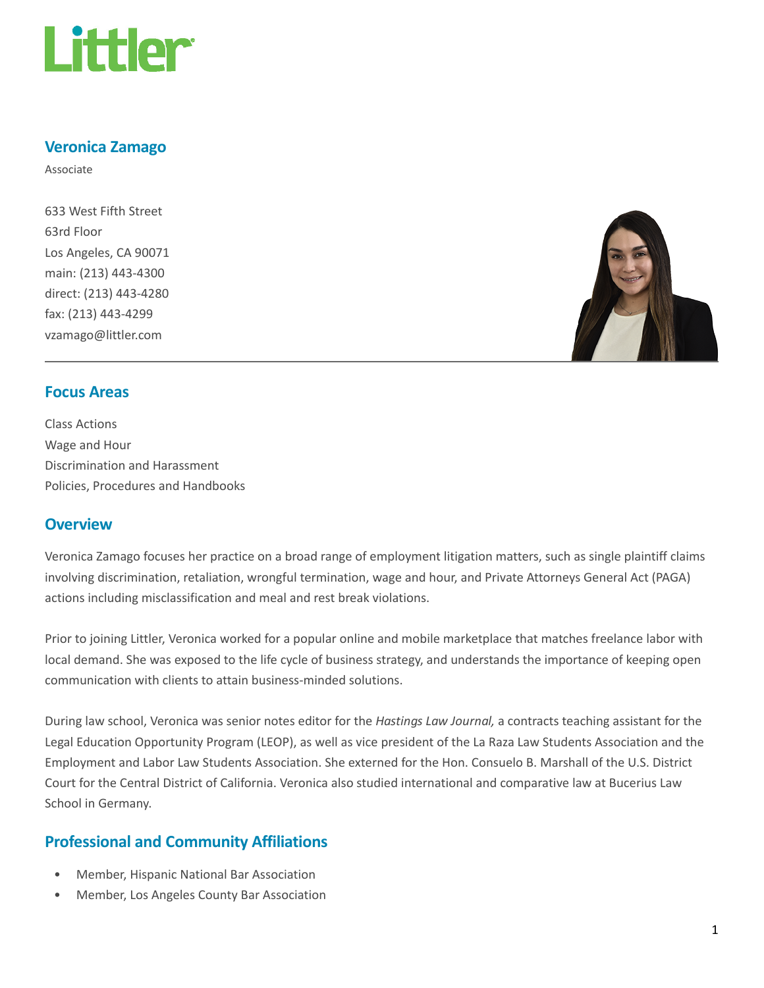

### Veronica Zamago

Associate

633 West Fifth Street 63rd Floor Los Angeles, CA 90071 main: (213) 443-4300 direct: (213) 443-4280 fax: (213) 443-4299 vzamago@littler.com



### Focus Areas

Class Actions Wage and Hour Discrimination and Harassment Policies, Procedures and Handbooks

## **Overview**

Veronica Zamago focuses her practice on a broad range of employment litigation matters, such as single plaintiff claims involving discrimination, retaliation, wrongful termination, wage and hour, and Private Attorneys General Act (PAGA) actions including misclassification and meal and rest break violations.

Prior to joining Littler, Veronica worked for a popular online and mobile marketplace that matches freelance labor with local demand. She was exposed to the life cycle of business strategy, and understands the importance of keeping open communication with clients to attain business-minded solutions.

During law school, Veronica was senior notes editor for the Hastings Law Journal, a contracts teaching assistant for the Legal Education Opportunity Program (LEOP), as well as vice president of the La Raza Law Students Association and the Employment and Labor Law Students Association. She externed for the Hon. Consuelo B. Marshall of the U.S. District Court for the Central District of California. Veronica also studied international and comparative law at Bucerius Law School in Germany.

# Professional and Community Affiliations

- Member, Hispanic National Bar Association
- Member, Los Angeles County Bar Association